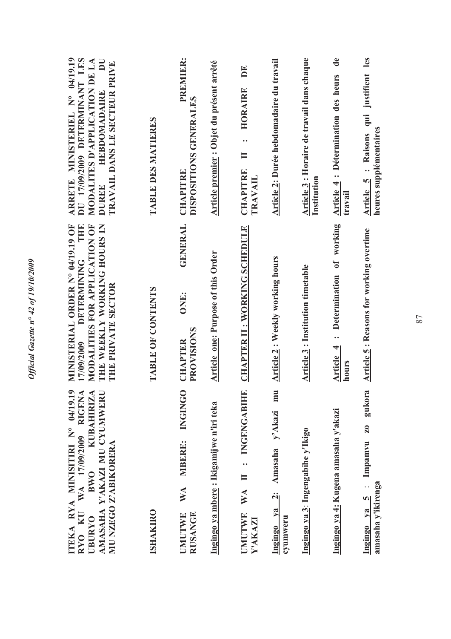| ARRETE MINISTERIEL N° 04/19.19<br>DU 17/09/2009 DETERMINANT LES<br>MODALITES D'APPLICATION DE LA<br>$\overline{\mathbf{D}}$<br>TRAVAIL DANS LE SECTEUR PRIVE<br><b>HEBDOMADAIRE</b><br><b>DUREE</b> | TABLE DES MATIERES | <b>PREMIER:</b><br>DISPOSITIONS GENERALES<br>CHAPITRE                     | Article premier : Objet du présent arrêté | DE<br>HORAIRE<br>$\ddot{\phantom{0}}$<br>$\blacksquare$<br><b>CHAPITRE</b><br><b>TRAVAIL</b>     | Article 2: Durée hebdomadaire du travail            | Article 3 : Horaire de travail dans chaque<br>Institution | $\mathbf{d}\mathbf{e}$<br>Article 4 : Détermination des heurs<br>travail | qui justifient les<br>heures supplémentaires<br>: Raisons<br><b>Article 5</b>             |
|-----------------------------------------------------------------------------------------------------------------------------------------------------------------------------------------------------|--------------------|---------------------------------------------------------------------------|-------------------------------------------|--------------------------------------------------------------------------------------------------|-----------------------------------------------------|-----------------------------------------------------------|--------------------------------------------------------------------------|-------------------------------------------------------------------------------------------|
| MINISTERIAL ORDER Nº 04/19.19 OF<br>MODALITIES FOR APPLICATION OF<br>THE WEEKLY WORKING HOURS IN<br><b>CIFIC</b><br><b>DETERMINING</b><br>THE PRIVATE SECTOR<br>17/09/2009                          | TABLE OF CONTENTS  | <b>GENERAL</b><br>ONE:<br>PROVISIONS<br><b>CHAPTER</b>                    | <b>Article one: Purpose of this Order</b> | <b>CHAPTER II: WORKING SCHEDULE</b>                                                              | <b>Article 2: Weekly working hours</b>              | Article 3 : Institution timetable                         | : Determination of working<br>Article 4<br>hours                         | <b>Article 5: Reasons for working overtime</b>                                            |
| $\bullet$<br>WA 17/09/2009 RIGENA<br><b>KUBAHIRIZA</b><br>AMASAHA Y'AKAZI MU CYUMWERI<br>TEKA RYA MINISITIRI N° 04/19.1<br>MU NZEGO Z'ABIKORERA<br><b>RWO</b><br>RYO KU<br><b>DARIBURYO</b>         | <b>ISHAKIRO</b>    | <b>CONGINGO</b><br><b>MBERE:</b><br>WA<br><b>RUSANGE</b><br><b>UMUTWE</b> | Ingingo ya mbere: Ikigamijwe n'iri teka   | $\mathbf{r}$<br>INGENGABIH<br>$\ddot{\cdot}$<br>$\blacksquare$<br>WA<br><b>UMUTWE</b><br>Y'AKAZI | Amasaha y'Akazi mu<br>$Ingingo$ ya $2:$<br>cyumweru | Ingingo ya 3: Ingengabihe y'Ikigo                         | Ingingo ya 4: Kugena amasaha y'akazi                                     | gukora<br>$\mathbf{z}_0$<br>Impamvu<br>amasaha y'ikirenga<br>$\overline{a}$<br>Ingingo ya |

87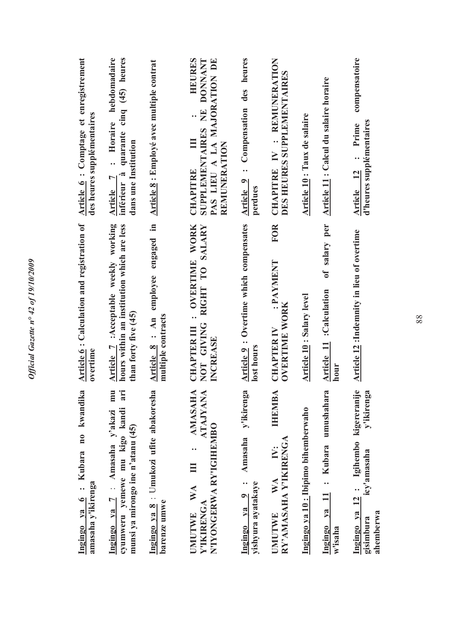| Article 6: Comptage et enregistrement<br>des heures supplémentaires | : Horaire hebdomadaire<br>quarante cinq (45) heures<br>dans une Institution<br>inférieur à<br>L<br><b>Article</b>                  | <b>Article 8: Employé avec multiple contrat</b><br>.≡    | HEURES<br>SUPPLEMENTAIRES NE DONNANT<br>PAS LIEU A LA MAJORATION DE<br><b>REMUNERATION</b><br><b>CHAPITRE</b>           | Article 9 : Compensation des heures<br>perdues              | : REMUNERATION<br>DES HEURES SUPPLEMENTAIRES<br><b>CHAPITRE IV</b><br><b>FOR</b> | Article 10 : Taux de salaire         | Article 11 : Calcul du salaire horaire                   | compensatoire<br>d'heures supplémentaires<br>Prime<br>Article 12                                    |
|---------------------------------------------------------------------|------------------------------------------------------------------------------------------------------------------------------------|----------------------------------------------------------|-------------------------------------------------------------------------------------------------------------------------|-------------------------------------------------------------|----------------------------------------------------------------------------------|--------------------------------------|----------------------------------------------------------|-----------------------------------------------------------------------------------------------------|
| Article 6: Calculation and registration of<br>overtime              | Article 7 :Acceptable weekly working<br>hours within an institution which are less<br>than forty five (45)                         | engaged<br>Article 8 : An employee<br>multiple contracts | RIGHT TO SALARY<br>: OVERTIME WORK<br>NOT GIVING<br><b>CHAPTER III</b><br>INCREASE                                      | Article 9 : Overtime which compensates<br>lost hours        | : PAYMENT<br><b>OVERTIME WORK</b><br><b>CHAPTER IV</b>                           | <b>Article 10: Salary level</b>      | of salary per<br><b>Article 11 : Calculation</b><br>hour | Article 12 :Indemnity in lieu of overtime                                                           |
| Ingingo ya 6 : Kubara no kwandika<br>amasaha y'ikirenga             | mmu<br>E<br>$\tilde{a}$<br>cyumweru yemewe mu kigo kandi<br>: Amasaha y'akazi<br>munsi ya mirongo ine n'atanu (45)<br>Ingingo ya 7 | Ingingo ya 8 : Umukozi ufite abakoresha<br>barenze umwe  | $\blacktriangleleft$<br><b>ATAJYAN</b><br><b>AMASAH</b><br>N'IYONGERWA RY'IGIHEMBO<br>WA<br>Y'IKIRENGA<br><b>UMUTWE</b> | y'ikirenga<br>Amasaha<br>yishyura ayatakaye<br>Ingingo ya 9 | <b>THEMBA</b><br>RY'AMASAHA Y'IKIRENGA<br>WA<br><b>UMUTWE</b>                    | Ingingo ya 10 : Ibipimo bihemberwaho | umushahara<br>: Kubara<br>Ingingo ya<br>w'isaha          | kigereranije<br>y'ikirenga<br>$12:$ Igihembo<br>icy'amasaha<br>Ingingo ya<br>ahemberwa<br>gisimbura |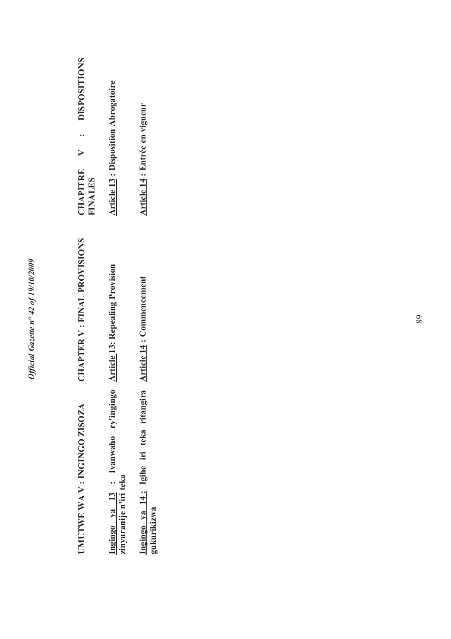| <b>DISPOSITIONS</b><br>CHAPITRE<br><b>TNALES</b> | <b>Article 13: Disposition Abrogatoire</b>                                                 | Article 14 : Entrée en vigueur                        |
|--------------------------------------------------|--------------------------------------------------------------------------------------------|-------------------------------------------------------|
| <b>CHAPTER V: FINAL PROVISIONS</b>               |                                                                                            | <b>Article 14: Commencement</b>                       |
| UMUTWE WA V: INGINGO ZISOZA                      | ngingo ya 13: Ivanwaho ry'ingingo Article 13: Repealing Provision<br>inyuranije n'iri teka | ngingo ya 14: Igihe iri teka ritangira<br>gukurikizwa |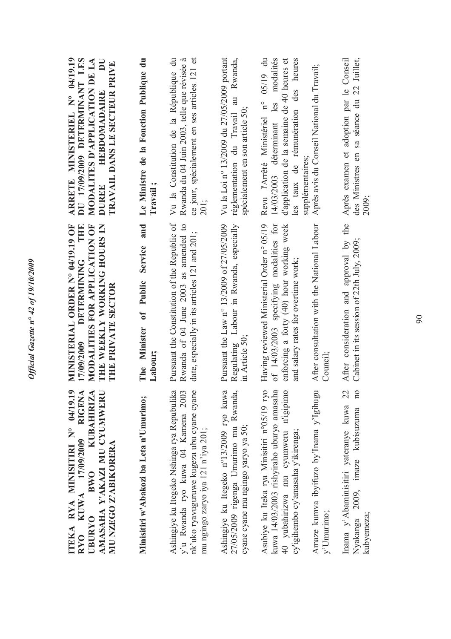| $\bullet$<br><b>RIGENA</b><br><b>KUBAHIRIZA</b><br>ITEKA RYA MINISITIRI N° 04/19.1<br>AMASAHA Y'AKAZI MU CYUMWER<br>KUWA 17/09/2009<br>MU NZEGO Z'ABIKORERA<br>BWO<br><b>UBURYO</b><br>RYO | MINISTERIAL ORDER N° 04/19.19 OF<br>THE<br>THE WEEKLY WORKING HOURS IN<br>MODALITIES FOR APPLICATION OF<br><b>DETERMINING</b><br>THE PRIVATE SECTOR<br>17/09/2009        | ARRETE MINISTERIEL N° 04/19.19<br>DU 17/09/2009 DETERMINANT LES<br>MODALITES D'APPLICATION DE LA<br>$\overline{\mathbf{D}}$<br>TRAVAIL DANS LE SECTEUR PRIVE<br><b>HEBDOMADAIRE</b><br><b>DUREE</b> |
|--------------------------------------------------------------------------------------------------------------------------------------------------------------------------------------------|--------------------------------------------------------------------------------------------------------------------------------------------------------------------------|-----------------------------------------------------------------------------------------------------------------------------------------------------------------------------------------------------|
| Minisitiri w'Abakozi ba Leta n'Umurimo;                                                                                                                                                    | and<br>Service<br>Public<br>The Minister of<br>Labour;                                                                                                                   | Le Ministre de la Fonction Publique du<br>Travail ;                                                                                                                                                 |
| Ashingiye ku Itegeko Nshinga rya Repubulika<br>nk'uko ryavuguruwe kugeza ubu cyane cyane<br>y'u Rwanda ryo kuwa 04 Kamena 2003<br>mu ngingo zaryo iya 121 n'iya 201;                       | Pursuant the Constitution of the Republic of<br>Rwanda of 04 June 2003 as amended to<br>date, especially in its articles 121 and 201;                                    | Vu la Constitution de la République du<br>Rwanda du 04 Juin 2003, telle que révisée à<br>ce jour, spécialement en ses articles 121 et<br>201;                                                       |
| Ashingiye ku Itegeko n°13/2009 ryo kuwa<br>27/05/2009 rigenga Umurimo mu Rwanda,<br>cyane cyane mu ngingo yaryo ya 50;                                                                     | Pursuant the Law n° 13/2009 of 27/05/2009<br>Regulating Labour in Rwanda, especially<br>in Article 50;                                                                   | Vu la Loi nº 13/2009 du 27/05/2009 portant<br>Rwanda,<br>réglementation du Travail au<br>spécialement en son article 50;                                                                            |
| Asubiye ku Iteka rya Minisitiri n°05/19 ryo<br>kuwa 14/03/2003 rishyiraho uburyo amasaha<br>40 yubahirizwa mu cyumweru n'igipimo<br>cy'igihembo cy'amasaha y'ikirenga;                     | of 14/03/2003 specifying modalities for<br>Having reviewed Ministerial Order n° 05/19<br>enforcing a forty (40) hour working week<br>and salary rates for overtime work; | Revu l'Arrêté Ministériel n° 05/19 du<br>modalités<br>les taux de rémunération des heures<br>d'application de la semaine de 40 heures et<br>14/03/2003 déterminant les<br>supplémentaires;          |
| Amaze kumva ibyifuzo by'Inama y'Igihugu<br>y'Umurimo;                                                                                                                                      | After consultation with the National Labour<br>Council;                                                                                                                  | Après avis du Conseil National du Travail;                                                                                                                                                          |
| 100<br>22<br>Inama y'Abaminisitiri yateranye kuwa<br>Nyakanga 2009, imaze kubisuzuma<br>kubyemeza;                                                                                         | After consideration and approval by the<br>Cabinet in its session of 22th July, 2009;                                                                                    | 22 Juillet,<br>Après examen et adoption par le Conseil<br>des Ministres en sa séance du<br>2009;                                                                                                    |

*Official Gazette n° 42 of 19/10/2009* 

Official Gazette nº 42 of 19/10/2009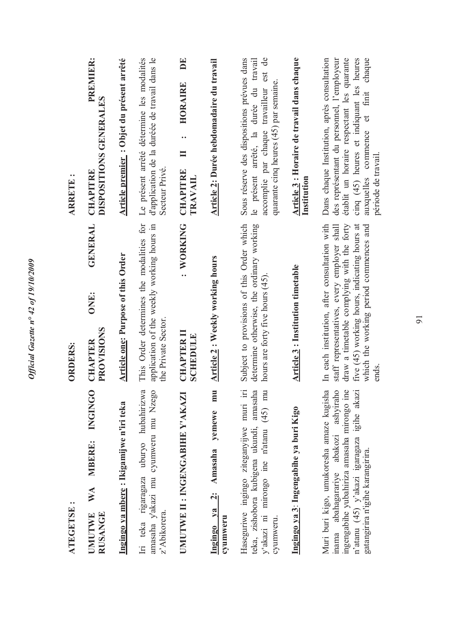| ATEGETSE:                                                                                                                                                                                                         | <b>ORDERS:</b>                                                                                                                                                                                                                              |      |                | <b>ARRETE:</b>                                                                                                                                                                                                                                          |
|-------------------------------------------------------------------------------------------------------------------------------------------------------------------------------------------------------------------|---------------------------------------------------------------------------------------------------------------------------------------------------------------------------------------------------------------------------------------------|------|----------------|---------------------------------------------------------------------------------------------------------------------------------------------------------------------------------------------------------------------------------------------------------|
| <b>INGINGO</b><br><b>MBERE:</b><br>WA<br><b>RUSANGE</b><br><b>UMUTWE</b>                                                                                                                                          | PROVISIONS<br><b>CHAPTER</b>                                                                                                                                                                                                                | ONE: | <b>GENERAL</b> | PREMIER:<br>DISPOSITIONS GENERALES<br><b>CHAPITRE</b>                                                                                                                                                                                                   |
| Ingingo ya mbere: Ikigamijwe n'iri teka                                                                                                                                                                           | <b>Article one: Purpose of this Order</b>                                                                                                                                                                                                   |      |                | Article premier: Objet du présent arrêté                                                                                                                                                                                                                |
| Iri teka rigaragaza uburyo hubahirizwa<br>amasaha y'akazi mu cyumweru mu Nzego<br>z' Abikorera.                                                                                                                   | This Order determines the modalities for<br>application of the weekly working hours in<br>the Private Sector.                                                                                                                               |      |                | d'application de la duréée de travail dans le<br>Le présent arrêté détermine les modalités<br>Secteur Privé.                                                                                                                                            |
| UMUTWE II : INGENGABIHE Y'AKAZI                                                                                                                                                                                   | <b>CHAPTER II</b><br>SCHEDULE                                                                                                                                                                                                               |      | : WORKING      | DE<br>HORAIRE<br>$\ddot{\phantom{0}}$<br>$\blacksquare$<br><b>CHAPITRE</b><br><b>TRAVAIL</b>                                                                                                                                                            |
| mu<br>yemewe<br>Amasaha<br>$\ddot{\mathbf{a}}$<br>Ingingo ya<br>cyumweru                                                                                                                                          | <b>Article 2: Weekly working hours</b>                                                                                                                                                                                                      |      |                | Article 2: Durée hebdomadaire du travail                                                                                                                                                                                                                |
| $\Xi$<br>amasaha<br>y'akazi ni mirongo ine n'atanu (45) mu<br>Haseguriwe ingingo ziteganyijwe muri<br>teka, zishobora kubigena ukundi,<br>cyumweru.                                                               | Subject to provisions of this Order which<br>determine otherwise, the ordinary working<br>hours are forty five hours (45).                                                                                                                  |      |                | est de<br>Sous réserve des dispositions prévues dans<br>travail<br>quarante cinq heures (45) par semaine.<br>le présent arrêté, la durée du<br>accomplie par chaque travailleur                                                                         |
| Ingingo ya 3: Ingengabihe ya buri Kigo                                                                                                                                                                            | <b>Article 3: Institution timetable</b>                                                                                                                                                                                                     |      |                | Article 3 : Horaire de travail dans chaque<br>Institution                                                                                                                                                                                               |
| inama abahagarariye abakozi ashyiraho<br>ingengabihe yubahiriza amasaha mirongo ine<br>Muri buri kigo, umukoresha amaze kugisha<br>n'atanu (45) y'akazi igaragaza igihe akazi<br>gatangirira n'igihe karangirira. | In each institution, after consultation with<br>staff representatives, every employer shall<br>draw a timetable complying with the forty<br>five (45) working hours, indicating hours at<br>which the working period commences and<br>ends. |      |                | établit un horaire respectant les quarante<br>Dans chaque Institution, après consultation<br>cinq (45) heures et indiquant les heures<br>des représentant du personnel, l'employeur<br>chaque<br>finit<br>auxquelles commence et<br>période de travail. |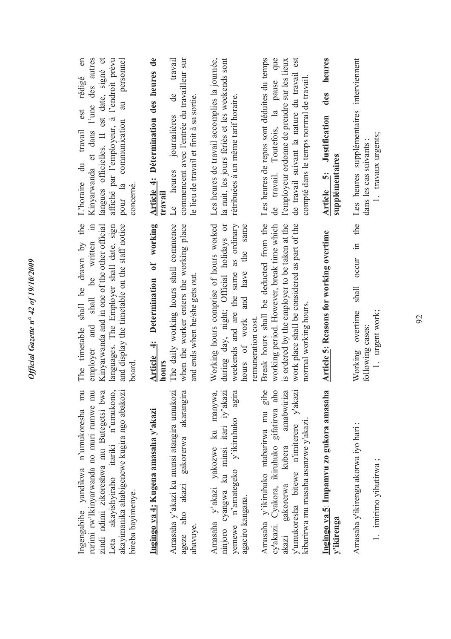| l'une des autres<br>$\epsilon$<br>langues officielles. II est date, signé et<br>affiché par l'employeur, à l'endroit prévu<br>pour la communication au personnel<br>est rédigé<br>L'horaire du travail<br>Kinyarwanda et dans<br>concerné.    | Article 4: Détermination des heures de<br>commencent avec l'entrée du travailleur sur<br>travail<br>de<br>le lieu de travail et finit à sa sortie.<br>journalières<br>Le heures<br>travail | la nuit, les jours fériés et les weekends sont<br>Les heures de travail accomplies la journée,<br>rétribuées à un même tarif horaire.                            | de travail. Toutefois, la pause que<br>Les heures de repos sont déduites du temps<br>de travail suivant la nature du travail est<br>l'employeur ordonne de prendre sur les lieux<br>compté dans le temps normal de travail.         | heures<br>des<br><b>Article</b> 5: Justification<br>supplémentaires | Les heures supplémentaires interviennent<br>1. travaux urgents;<br>dans les cas suivants |
|-----------------------------------------------------------------------------------------------------------------------------------------------------------------------------------------------------------------------------------------------|--------------------------------------------------------------------------------------------------------------------------------------------------------------------------------------------|------------------------------------------------------------------------------------------------------------------------------------------------------------------|-------------------------------------------------------------------------------------------------------------------------------------------------------------------------------------------------------------------------------------|---------------------------------------------------------------------|------------------------------------------------------------------------------------------|
| The timetable shall be drawn by the<br>$\equiv$<br>Kinyarwanda and in one of the other official<br>languages. The Employer shall date, sign<br>and display the timetable on the staff notice<br>employer and shall be written<br>$\it{board}$ | Article 4: Determination of working<br>when the worker enters the working place<br>The daily working hours shall commence<br>and ends when he/she gets out.<br>hours                       | Working hours comprise of hours worked<br>weekends and are the same as ordinary<br>during day, night; Official holidays or<br>and have the same<br>hours of work | Break hours shall be deducted from the<br>working period. However, break time which<br>is ordered by the employer to be taken at the<br>work place shall be considered as part of the<br>normal working hours<br>remuneration cost. | <b>Article 5: Reasons for working overtime</b>                      | shall occur in the<br>Working overtime<br>1. urgent work;<br>following cases:            |
| Ingengabihe yandikwa n'umukoresha mu<br>zindi ndimi zikoreshwa mu Butegetsi bwa<br>rurimi rw'Ikinyarwanda no muri rumwe mu<br>Leta akayishyiraho itariki n'umukono,<br>akayimanika ahabigenewe kugira ngo abakozi<br>bireba bayimenye.        | ageze aho akazi gakorerwa akarangira<br>Amasaha y'akazi ku munsi atangira umukozi<br>Ingingo ya 4: Kugena amasaha y'akazi<br>ahavuye.                                                      | yemewe n'amategeko y'ikiruhuko agira<br>Amasaha y'akazi yakozwe ku manywa,<br>ninjoro cyangwa ku minsi itari iy'akazi<br>agaciro kangana.                        | Amasaha y'ikiruhuko ntabarirwa mu gihe<br>cy'akazi. Cyakora, ikiruhuko gifatirwa aho<br>gakorerwa kubera amabwiriza<br>y'umukoresha bitewe n'imiterere y'akazi<br>kibarirwa mu masaha asanzwe y'akazı.<br>akazı                     | Ingingo ya 5: Impamvu zo gukora amasaha<br>y'ikirenga               | Amasaha y'ikirenga akorwa iyo hari:<br>1. imirimo yihutirwa;                             |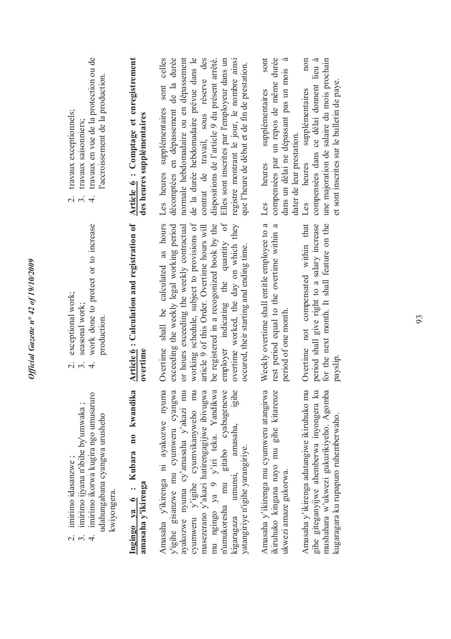| Amasaha y'ikirenga ni ayakozwe nyuma<br>cyumweru y'igihe cyumvikanyweho mu<br>masezerano y'akazi hatirengagijwe ibivugwa<br>Ingingo ya 6 : Kubara no kwandika<br>y'igihe gisanzwe mu cyumweru cyangwa<br>ayakozwe nyuma cy'amasaha y'akazi mu<br>amasaha y'ikirenga                                                                                                                                                                                       | Article 6 : Calculation and registration of<br>working schedule, subject to provisions of<br>Overtime shall be calculated as hours<br>exceeding the weekly legal working period<br>work done to protect or to increase<br>or hours exceeding the weekly contractual<br>article 9 of this Order. Overtime hours will<br>seasonal work;<br>production.<br>overtime<br>$\alpha$ $\alpha$<br>$\overline{4}$                                         | travaux en vue de la protection ou de<br>Article 6 : Comptage et enregistrement<br>sont celles<br>décomptées en dépassement de la durée<br>normale hebdomadaire ou en dépassement<br>de la durée hebdomadaire prévue dans le<br>l'accroissement de la production.<br>Les heures supplémentaires<br>travaux exceptionnels;<br>des heures supplémentaires<br>travaux saisonniers;<br>$\overline{\mathcal{N}}$<br>$\ddot{\mathcal{S}}$<br>$\overline{4}$                                                                                                                                 |
|-----------------------------------------------------------------------------------------------------------------------------------------------------------------------------------------------------------------------------------------------------------------------------------------------------------------------------------------------------------------------------------------------------------------------------------------------------------|-------------------------------------------------------------------------------------------------------------------------------------------------------------------------------------------------------------------------------------------------------------------------------------------------------------------------------------------------------------------------------------------------------------------------------------------------|---------------------------------------------------------------------------------------------------------------------------------------------------------------------------------------------------------------------------------------------------------------------------------------------------------------------------------------------------------------------------------------------------------------------------------------------------------------------------------------------------------------------------------------------------------------------------------------|
| mu ngingo ya 9 y'iri teka. Yandikwa<br>n'umukoresha mu gitabo cyabugenewe<br>igihe<br>Amasaha y'ikirenga mu cyumweru atangirwa<br>ikiruhuko kingana nayo mu gihe kitarenze<br>Amasaha y'ikirenga adatangiwe ikiruhuko mu<br>gihe giteganyijwe ahemberwa inyongera ku<br>mushahara w'ukwezi gukurikiyeho. Agomba<br>kugaragara ku rupapuro ruhemberwaho.<br>amasaha,<br>yatangiriye n'igihe yarangiriye.<br>umunsi,<br>ukwezi amaze gukorwa.<br>kigaragaza | employer indicating the quantity of<br>Weekly overtime shall entitle employee to a<br>be registered in a recogonized book by the<br>overtime worked, the day on which they<br>for the next month. It shall feature on the<br>rest period equal to the overtime within a<br>Overtime not compensated within that<br>period shall give right to a salary increase<br>occured, their starting and ending time.<br>period of one month.<br>payslip. | compensées par un repos de même durée<br>non<br>dans un délai ne dépassant pas un mois à<br>sont<br>une majoration de salaire du mois prochain<br>contrat de travail, sous réserve des<br>compensées dans ce délai donnent lieu à<br>dispositions de l'article 9 du présent arrêté.<br>Elles sont inscrites par l'employeur dans un<br>registre montrant le jour, le nombre ainsi<br>que l'heure de début et de fin de prestation.<br>et sont inscrites sur le bulletin de paye.<br>supplémentaires<br>supplémentaires<br>dater de leur prestation.<br>heures<br>heures<br>Les<br>Les |

*Official Gazette n° 42 of 19/10/2009* 

Official Gazette nº 42 of 19/10/2009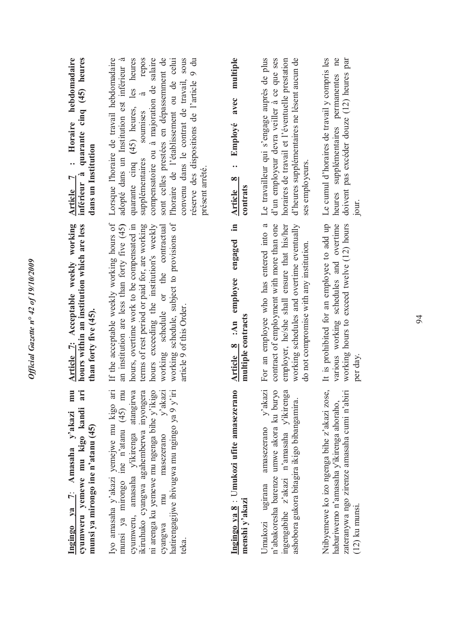| inférieur à quarante cinq (45) heures<br>Horaire hebdomadaire<br>dans un Institution<br>$\ddot{\cdot}$<br>$\overline{ }$<br>Article | compensatoire ou à majoration de salaire<br>sont celles prestées en dépassemment de<br>Lorsque l'horaire de travail hebdomadaire<br>adopté dans un Institution est inférieur à<br>repos<br>convenu dans le contrat de travail, sous<br>quarante cinq (45) heures, les heures<br>l'horaire de l'établissement ou de celui<br>réserve des dispositions de l'article 9 du<br>$\vec{z}$<br>soumises<br>supplémentaires<br>présent arrêté. | avec multiple<br>Employé<br>$\bullet$ $\bullet$<br>Article 8<br>contrats | Le travailleur qui s'engage auprès de plus<br>horaires de travail et l'éventuelle prestation<br>d'heures supplémentaires ne lèsent aucun de<br>d'un employeur devra veiller à ce que ses<br>ses employeurs                | heures supplémentaires permanentes ne<br>Le cumul d'horaires de travail y compris les<br>doivent pas excéder douze (12) heures par<br>jour.                |
|-------------------------------------------------------------------------------------------------------------------------------------|---------------------------------------------------------------------------------------------------------------------------------------------------------------------------------------------------------------------------------------------------------------------------------------------------------------------------------------------------------------------------------------------------------------------------------------|--------------------------------------------------------------------------|---------------------------------------------------------------------------------------------------------------------------------------------------------------------------------------------------------------------------|------------------------------------------------------------------------------------------------------------------------------------------------------------|
| Article 7: Acceptable weekly working<br>hours within an institution which are less<br>than forty five (45).                         | If the acceptable weekly working hours of<br>working schedule, subject to provisions of<br>hours exceeding the institution's weekly<br>an institution are less than forty five (45)<br>hours, overtime work to be compensated in<br>terms of rest period or paid for, are working<br>working schedule or the contractual<br>article 9 of this Order.                                                                                  | .≊<br>Article 8 :An employee engaged<br>multiple contracts               | For an employee who has entered into a<br>contract of employment with more than one<br>employer, he/she shall ensure that his/her<br>working schedules and overtime eventually<br>do not compromise with any institution. | It is prohibited for an employee to add up<br>various working schedules and overtime<br>working hours to exceed twelve (12) hours<br>per day.              |
| mu<br>ari<br>cyumweru yemewe mu kigo kandi<br>Ingingo ya 7: Amasaha y'akazi<br>munsi ya mirongo ine n'atanu (45)                    | ni arenga ku yemewe mu ngenga bihe y'ikigo<br>cyumweru, amasaha y'ikirenga atangirwa<br>ikiruhuko cyangwa agahemberwa inyongera<br>masezerano y'akazi<br>Iyo amasaha y'akazi yemejwe mu kigo ari<br>munsi ya mirongo ine n'atanu (45) mu<br>hatirengagijwe ibivugwa mu ngingo ya 9 y'iri<br>mu<br>cyangwa<br>teka.                                                                                                                    | Ingingo ya 8 : Umukozi ufite amasezerano<br>menshi y'akazi               | n'abakoresha barenze umwe akora ku buryo<br>Umukozi ugirana amasezerano y'akazi<br>ingengabihe z'akazi n'amasaha y'ikirenga<br>ashobora gukora bitagira ikigo bibangamira.                                                | Ntibyemewe ko izo ngenga bihe z'akazi zose,<br>zateranywa ngo zirenze amasaha cumi n'abiri<br>habariwemo n'amasaha y'ikirenga ahoraho,<br>$(12)$ ku munsi. |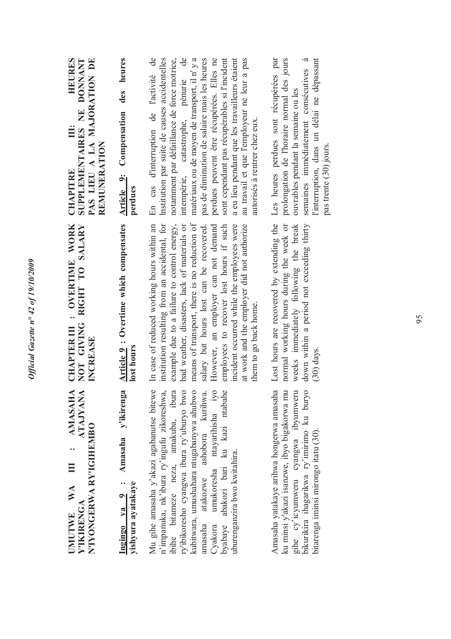CHAPTER III : OVERTIME WORK **CHAPTER III : OVERTIME WORK AMASAHA ATAJYANA UMUTWE WA III : AMASAHA Y'IKIRENGA ATAJYANA**  N'IYONGERWA RYIGIHEMBO **N'IYONGERWA RY'IGIHEMBO** ..  $\equiv$ WA Y'IKIRENGA **UMUTWE** 

NOT GIVING RIGHT TO SALARY **NOT GIVING RIGHT TO SALARY INCREASE** Ingingo ya 9 : Amasaha y'ikirenga Article 9 : Overtime which compensates **Ingingo ya 9 : Amasaha y'ikirenga**  yishyura ayatakaye **yishyura ayatakaye**

Mu gihe amasaha y'akazi agabanutse bitewe kubitwara, umushahara ntugabanywa ahubwo ntayarihisha iyo byabaye abakozi bari ku kazi ntabahe Mu gihe amasaha y'akazi agabanutse bitewe n'impanuka, nk'ibura ry'ingufu zikoreshwa, ibihe bitameze neza, amakuba, ibura ry'ibikoresho cyangwa ibura ry'uburyo bwo ry'ibikoresho cyangwa ibura ry'uburyo bwo kubitwara, umushahara ntugabanywa ahubwo amasaha atakozwe ashobora kurihwa. Cyakora umukoresha ntayarihisha iyo byabaye abakozi bari ku kazi ntabahe ibihe bitameze neza, amakuba, ibura ashobora kurihwa. n'impanuka, nk'ibura ry'ingufu zikoreshwa, uburenganzira bwo kwitahira. uburenganzira bwo kwitahira. umukoresha atakozwe amasaha Cyakora

Amasaha yatakaye arihwa hongerwa amasaha ku minsi y'akazi isanzwe, ibyo bigakorwa mu gihe cy'icyumweru cyangwa ibyumweru bikurikira ihagarikwa ry'imirimo ku buryo Amasaha yatakaye arihwa hongerwa amasaha ku minsi y'akazi isanzwe, ibyo bigakorwa mu gihe cy'icyumweru cyangwa ibyumweru bikurikira ihagarikwa ry'imirimo ku buryo bitarenga iminsi mirongo itatu (30). bitarenga iminsi mirongo itatu (30)

**Article 9 : Overtime which compensates lost hours**

institution resulting from an accidental, for In case of reduced working hours within an institution resulting from an accidental, for example due to a failure to control energy, bad weather, disasters, lack of materials or bad weather, disasters, lack of materials or means of transport, there is no reduction of means of transport, there is no reduction of salary but hours lost can be recovered. However, an employer can not demand employees to recover lost hours if such incident occurred while the employees were at work and the employer did not authorize In case of reduced working hours within an example due to a failure to control energy, employees to recover lost hours if such incident occurred while the employees were at work and the employer did not authorize salary but hours lost can be recovered. However, an employer can not demand them to go back home. them to go back home. Lost hours are recovered by extending the normal working hours during the week or Lost hours are recovered by extending the normal working hours during the week or weeks immediately following the break weeks immediately following the break down within a period not exceeding thirty down within a period not exceeding thirty (30) days.

**HEURES CHAPITRE III: HEURES SUPPLEMENTAIRES NE DONNANT PAS LIEU A LA MAJORATION DE**  SUPPLEMENTAIRES NE DONNANT PAS LIEU A LA MAJORATION DE Ë REMUNERATION **REMUNERATION CHAPITRE** 

**Article 9: Compensation des heures**  Article 9: Compensation des heures **perdues**

En cas d'interruption de l'activité de lnstitution par suite de causes accidentelles notamment par défaillance de force motrice, intempérie, catastrophe, pénurie de matériaux ou de moyen de transport, il n' y a matériaux ou de moyen de transport, il n' y a pas de diminution de salaire mais les heures perdues peuvent être récupérées. Elles ne sont cependant pas récupérables si l'incident a eu lieu pendant que les travailleurs étaient au travail et que l'employeur ne leur a pas de Institution par suite de causes accidentelles intempérie, catastrophe, pénurie de pas de diminution de salaire mais les heures perdues peuvent être récupérées. Elles ne sont cependant pas récupérables si l'incident au travail et que l'employeur ne leur a pas notamment par défaillance de force motrice, a eu lieu pendant que les travailleurs étaient En cas d'interruption de l'activité autorisés à rentrer chez eux. autorisés à rentrer chez eux.

Les heures perdues sont récupérées par prolongation de l'horaire normal des jours Les heures perdues sont récupérées par prolongation de l'horaire normal des jours ouvrables pendant la semaine ou les ouvrables pendant la semaine ou les

semaines immédiatement consécutives à l'interruption, dans un délai ne dépassant semaines immédiatement consécutives à l'interruption, dans un délai ne dépassant pas trente (30) jours. pas trente (30) jours.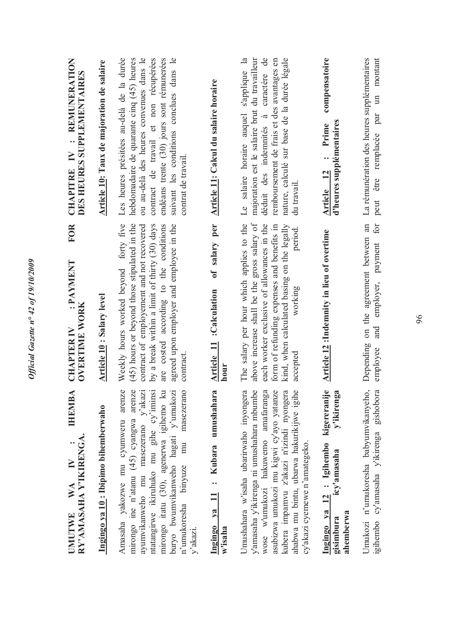| : REMUNERATION<br>DES HEURES SUPPLEMENTAIRES<br><b>CHAPITRE IV</b><br><b>FOR</b> | Article 10: Taux de majoration de salaire | Les heures présitées au-delà de la durée<br>ou au-delà des heures convenues dans le<br>contract de travail et non récupérées<br>endéans trente (30) jours sont rémunerées<br>suivant les conditions conclues dans le<br>hebdomadaire de quarante cinq (45) heures<br>contrat de travail.                   | Article 11: Calcul du salaire horaire                      | caractère de<br>remboursement de frais et des avantages en<br>nature, calculé sur base de la durée légale<br>s'applique la<br>majoration est le salaire brut du travailleur<br>Le salaire horaire auquel<br>déduit des indemnités à<br>du travail<br>period.                                     | compensatoire<br>d'heures supplémentaires<br>Prime<br>$\ddot{\phantom{0}}$<br>Article 12     | La rémunération des heures supplémentaires<br>peut être remplacée par un montant  |
|----------------------------------------------------------------------------------|-------------------------------------------|------------------------------------------------------------------------------------------------------------------------------------------------------------------------------------------------------------------------------------------------------------------------------------------------------------|------------------------------------------------------------|--------------------------------------------------------------------------------------------------------------------------------------------------------------------------------------------------------------------------------------------------------------------------------------------------|----------------------------------------------------------------------------------------------|-----------------------------------------------------------------------------------|
| : PAYMENT<br><b>OVERTIME WORK</b><br><b>CHAPTER IV</b>                           | <b>Article 10: Salary level</b>           | Weekly hours worked beyond forty five<br>(45) hours or beyond those stipulated in the<br>agreed upon employer and employee in the<br>contract of employement and not recovered<br>by a break within a limit of thirty (30) days<br>costed according to the conditions<br>contract<br>are                   | of salary per<br>:Calculation<br><b>Article 11</b><br>hour | The salary per hour which applies to the<br>above increase shall be the gross salary of<br>each worker exclusive of allowances in the<br>kind, when calculated basing on the legally<br>form of refunding expenses and benefits in<br>working<br>accepted                                        | <b>Article 12</b> : Indemnity in lieu of overtime                                            | on the agreement between an<br>and employer, payment for<br>Depending<br>employee |
| <b>IHEMBA</b><br>UMUTWE WA IV :<br>RY`AMASAHA Y`IKIRENGA.<br>WA<br><b>IMUTWE</b> | Ingingo ya 10: Ibipimo bihemberwaho       | arenze<br>mirongo ine n'atanu (45) cyangwa arenza<br>ayumvikanweho mu masezerano y'akaz<br>ntatangirwe ikiruhuko mu gihe cy'imins<br>mirongo itatu (30), agenerwa igihemo ku<br>buryo bwumvikanweho hagati y'umukoz<br>masezerano<br>Amasaha yakozwe mu cyumweru<br>mu<br>n'umukoresha binyuze<br>y'akazi. | umushahara<br>: Kubara<br>Ingingo ya 11<br>w'isaha         | asubizwa umukozi mu kigwi cy'ayo yatanze<br>y'amasaha y'ikirenga ni umushahara mbumbe<br>wose w'umukozi hakuwemo amafaranga<br>kubera impamvu z'akazi n'izindi nyongera<br>ahabwa mu bintu, ubarwa hakurikijwe igihe<br>Umushahara w'isaha ubarirwaho inyongera<br>cy'akazi cyemewe n'amategeko. | Ingingo va 12 : Igihembo kigereranije<br>y'ikirenga<br>icy'amasaha<br>ahemberwa<br>gisimbura | igihembo cy'amasaha y'ikirenga gishobora<br>Umukozi n'umukoresha babyumvikanyeho  |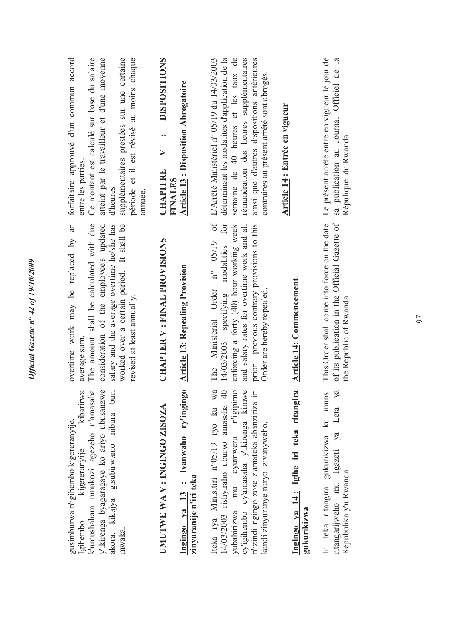| y'ikirenga byagaragaye ko ariyo ubusanzwe<br>kibarirwa<br>k'umushahara umukozi agezeho n'amasaha<br>akora, kikajya gisubirwamo nibura bur<br>gusimburwa n'igihembo kigereranyije.<br>kigereranyije<br>Igihembo<br>mwaka.                                | overtime work may be replaced by an<br>The amount shall be calculated with due<br>consideration of the employee's updated<br>worked over a certain period. It shall be<br>salary and the average overtime he/she has<br>revised at least annually.<br>average sum       | forfaitaire approuvé d'un commun accord<br>atteint par le travailleur et d'une moyenne<br>supplémentaires prestées sur une certaine<br>Ce montant est calculé sur base du salaire<br>période et il est révisé au moins chaque<br>entre les parties<br>d'heures<br>annuée.   |
|---------------------------------------------------------------------------------------------------------------------------------------------------------------------------------------------------------------------------------------------------------|-------------------------------------------------------------------------------------------------------------------------------------------------------------------------------------------------------------------------------------------------------------------------|-----------------------------------------------------------------------------------------------------------------------------------------------------------------------------------------------------------------------------------------------------------------------------|
| Ingingo ya 13 : Ivanwaho ry'ingingo<br>UMUTWE WA V: INGINGO ZISOZA<br>zinyuranije n'iri teka                                                                                                                                                            | <b>CHAPTER V: FINAL PROVISIONS</b><br><b>Article 13: Repealing Provision</b>                                                                                                                                                                                            | <b>DISPOSITIONS</b><br><b>Article 13: Disposition Abrogatoire</b><br><br>$\triangleright$<br><b>CHAPITRE</b><br><b>FINALES</b>                                                                                                                                              |
| Iteka rya Minisitiri n°05/19 ryo ku wa<br>cy'igihembo cy'amasaha y'ikirenga kimwe<br>14/03/2003 rishyiraho uburyo amasaha 40<br>yubahirizwa mu cyumweru n'igipimo<br>n'izindi ngingo zose z'amateka abanziriza ir<br>kandi zinyuranye naryo zivanyweho. | $\circ$ f<br>for<br>enforcing a forty (40) hour working week<br>prior previous contrary provisions to this<br>and salary rates for overtime work and all<br>$n^{\circ}$ 05/19<br>14/03/2003 specifying modalities<br>The Ministerial Order<br>Order are hereby repealed | semaine de 40 heures et les taux de<br>ainsi que d'autres dispositions antérieures<br>L'Arrêté Ministériel n° 05/19 du 14/03/2003<br>déterminant les modalités d'application de la<br>rémunération des heures supplémentaires<br>contraires au présent arrêté sont abrogés. |
| Ingingo ya 14: Igihe iri teka ritangira<br>gukurikizwa                                                                                                                                                                                                  | <b>Article 14: Commencement</b>                                                                                                                                                                                                                                         | Article 14 : Entrée en vigueur                                                                                                                                                                                                                                              |
| Iri teka ritangira gukurikizwa ku munsi<br>ritangarijweho mu Igazeti ya Leta ya<br>Repubulika y'u Rwanda.                                                                                                                                               | This Order shall come into force on the date<br>of its publication in the Official Gazette of<br>the Republic of Rwanda                                                                                                                                                 | Le présent arrêté entre en vigueur le jour de<br>$\mathbf{a}$<br>sa publication au Journal Officiel de<br>Répulique du Rwanda.                                                                                                                                              |